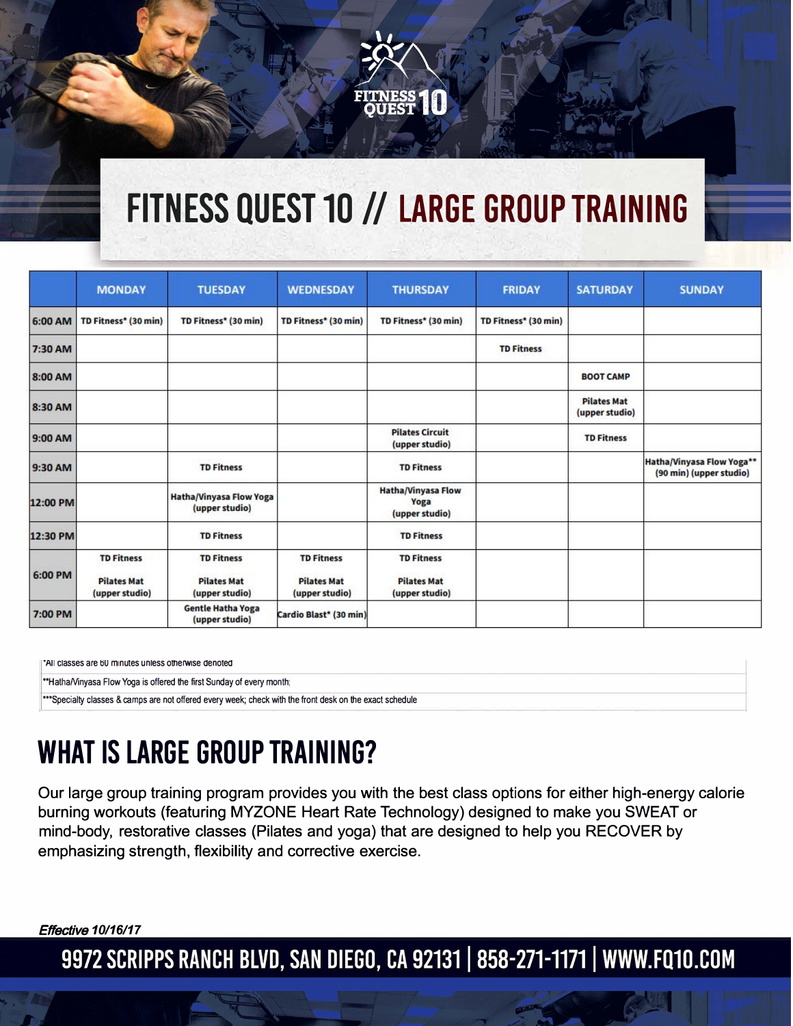# **FITNESS QUEST 10 // LARGE GROUP TRAINING**

|          | <b>MONDAY</b>                                             | <b>TUESDAY</b>                                            | <b>WEDNESDAY</b>                                          | <b>THURSDAY</b>                                           | <b>FRIDAY</b>        | <b>SATURDAY</b>                      | <b>SUNDAY</b>                                        |
|----------|-----------------------------------------------------------|-----------------------------------------------------------|-----------------------------------------------------------|-----------------------------------------------------------|----------------------|--------------------------------------|------------------------------------------------------|
| 6:00 AM  | TD Fitness* (30 min)                                      | TD Fitness* (30 min)                                      | TD Fitness* (30 min)                                      | TD Fitness* (30 min)                                      | TD Fitness* (30 min) |                                      |                                                      |
| 7:30 AM  |                                                           |                                                           |                                                           |                                                           | <b>TD Fitness</b>    |                                      |                                                      |
| 8:00 AM  |                                                           |                                                           |                                                           |                                                           |                      | <b>BOOT CAMP</b>                     |                                                      |
| 8:30 AM  |                                                           |                                                           |                                                           |                                                           |                      | <b>Pilates Mat</b><br>(upper studio) |                                                      |
| 9:00 AM  |                                                           |                                                           |                                                           | <b>Pilates Circuit</b><br>(upper studio)                  |                      | <b>TD Fitness</b>                    |                                                      |
| 9:30 AM  |                                                           | <b>TD Fitness</b>                                         |                                                           | <b>TD Fitness</b>                                         |                      |                                      | Hatha/Vinyasa Flow Yoga**<br>(90 min) (upper studio) |
| 12:00 PM |                                                           | <b>Hatha/Vinyasa Flow Yoga</b><br>(upper studio)          |                                                           | <b>Hatha/Vinyasa Flow</b><br>Yoga<br>(upper studio)       |                      |                                      |                                                      |
| 12:30 PM |                                                           | <b>TD Fitness</b>                                         |                                                           | <b>TD Fitness</b>                                         |                      |                                      |                                                      |
| 6:00 PM  | <b>TD Fitness</b><br><b>Pilates Mat</b><br>(upper studio) | <b>TD Fitness</b><br><b>Pilates Mat</b><br>(upper studio) | <b>TD Fitness</b><br><b>Pilates Mat</b><br>(upper studio) | <b>TD Fitness</b><br><b>Pilates Mat</b><br>(upper studio) |                      |                                      |                                                      |
| 7:00 PM  |                                                           | <b>Gentle Hatha Yoga</b><br>(upper studio)                | Cardio Blast* (30 min)                                    |                                                           |                      |                                      |                                                      |

**·A11 classes are 60 minutes unless otherwise denoted**

**.. HathaMnyasa Flow Yoga is offered the first Sunday of every month;** 

**... Specialty classes & camps are not offered every week; check with the front desk on the exact schedule** 

### **WHAT IS LARGE GROUP TRAINING?**

Our large group training program provides you with the best class options for either high-energy calorie burning workouts (featuring MYZONE Heart Rate Technology) designed to make you SWEAT or mind-body, restorative classes (Pilates and yoga) that are designed to help you RECOVER by emphasizing strength, flexibility and corrective exercise.

Effective *10/16/17*

9972 SCRIPPS RANCH BLVD, SAN DIEGO, CA 92131 | 858-271-1171 | WWW.FQ10.COM